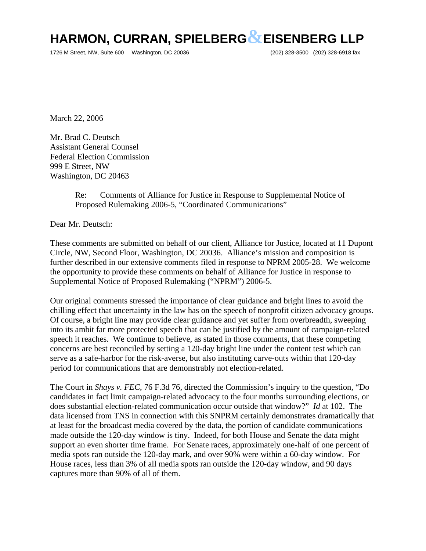## **HARMON, CURRAN, SPIELBERG&EISENBERG LLP**

1726 M Street, NW, Suite 600 Washington, DC 20036 (202) 328-3500 (202) 328-6918 fax

March 22, 2006

Mr. Brad C. Deutsch Assistant General Counsel Federal Election Commission 999 E Street, NW Washington, DC 20463

## Re: Comments of Alliance for Justice in Response to Supplemental Notice of Proposed Rulemaking 2006-5, "Coordinated Communications"

Dear Mr. Deutsch:

These comments are submitted on behalf of our client, Alliance for Justice, located at 11 Dupont Circle, NW, Second Floor, Washington, DC 20036. Alliance's mission and composition is further described in our extensive comments filed in response to NPRM 2005-28. We welcome the opportunity to provide these comments on behalf of Alliance for Justice in response to Supplemental Notice of Proposed Rulemaking ("NPRM") 2006-5.

Our original comments stressed the importance of clear guidance and bright lines to avoid the chilling effect that uncertainty in the law has on the speech of nonprofit citizen advocacy groups. Of course, a bright line may provide clear guidance and yet suffer from overbreadth, sweeping into its ambit far more protected speech that can be justified by the amount of campaign-related speech it reaches. We continue to believe, as stated in those comments, that these competing concerns are best reconciled by setting a 120-day bright line under the content test which can serve as a safe-harbor for the risk-averse, but also instituting carve-outs within that 120-day period for communications that are demonstrably not election-related.

The Court in *Shays v. FEC*, 76 F.3d 76, directed the Commission's inquiry to the question, "Do candidates in fact limit campaign-related advocacy to the four months surrounding elections, or does substantial election-related communication occur outside that window?" *Id* at 102. The data licensed from TNS in connection with this SNPRM certainly demonstrates dramatically that at least for the broadcast media covered by the data, the portion of candidate communications made outside the 120-day window is tiny. Indeed, for both House and Senate the data might support an even shorter time frame. For Senate races, approximately one-half of one percent of media spots ran outside the 120-day mark, and over 90% were within a 60-day window. For House races, less than 3% of all media spots ran outside the 120-day window, and 90 days captures more than 90% of all of them.